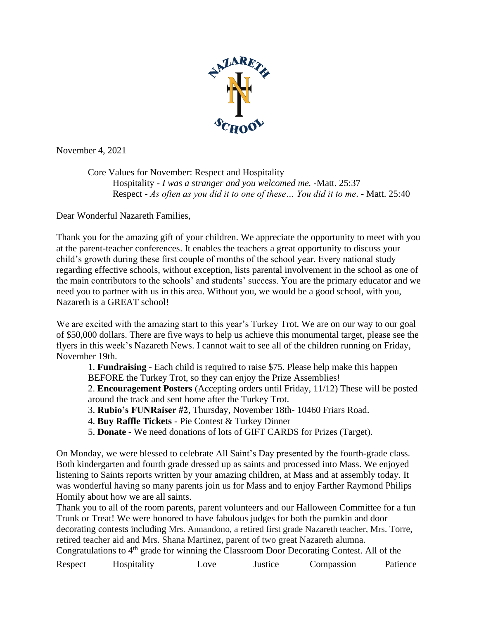

November 4, 2021

Core Values for November: Respect and Hospitality Hospitality - *I was a stranger and you welcomed me.* -Matt. 25:37 Respect - *As often as you did it to one of these… You did it to me*. - Matt. 25:40

Dear Wonderful Nazareth Families,

Thank you for the amazing gift of your children. We appreciate the opportunity to meet with you at the parent-teacher conferences. It enables the teachers a great opportunity to discuss your child's growth during these first couple of months of the school year. Every national study regarding effective schools, without exception, lists parental involvement in the school as one of the main contributors to the schools' and students' success. You are the primary educator and we need you to partner with us in this area. Without you, we would be a good school, with you, Nazareth is a GREAT school!

We are excited with the amazing start to this year's Turkey Trot. We are on our way to our goal of \$50,000 dollars. There are five ways to help us achieve this monumental target, please see the flyers in this week's Nazareth News. I cannot wait to see all of the children running on Friday, November 19th.

1. **Fundraising** - Each child is required to raise \$75. Please help make this happen BEFORE the Turkey Trot, so they can enjoy the Prize Assemblies!

2. **Encouragement Posters** (Accepting orders until Friday, 11/12) These will be posted around the track and sent home after the Turkey Trot.

- 3. **Rubio's FUNRaiser #2**, Thursday, November 18th- 10460 Friars Road.
- 4. **Buy Raffle Tickets** Pie Contest & Turkey Dinner
- 5. **Donate**  We need donations of lots of GIFT CARDS for Prizes (Target).

On Monday, we were blessed to celebrate All Saint's Day presented by the fourth-grade class. Both kindergarten and fourth grade dressed up as saints and processed into Mass. We enjoyed listening to Saints reports written by your amazing children, at Mass and at assembly today. It was wonderful having so many parents join us for Mass and to enjoy Farther Raymond Philips Homily about how we are all saints.

Thank you to all of the room parents, parent volunteers and our Halloween Committee for a fun Trunk or Treat! We were honored to have fabulous judges for both the pumkin and door decorating contests including Mrs. Annandono, a retired first grade Nazareth teacher, Mrs. Torre, retired teacher aid and Mrs. Shana Martinez, parent of two great Nazareth alumna. Congratulations to  $4<sup>th</sup>$  grade for winning the Classroom Door Decorating Contest. All of the

Respect Hospitality Love Justice Compassion Patience